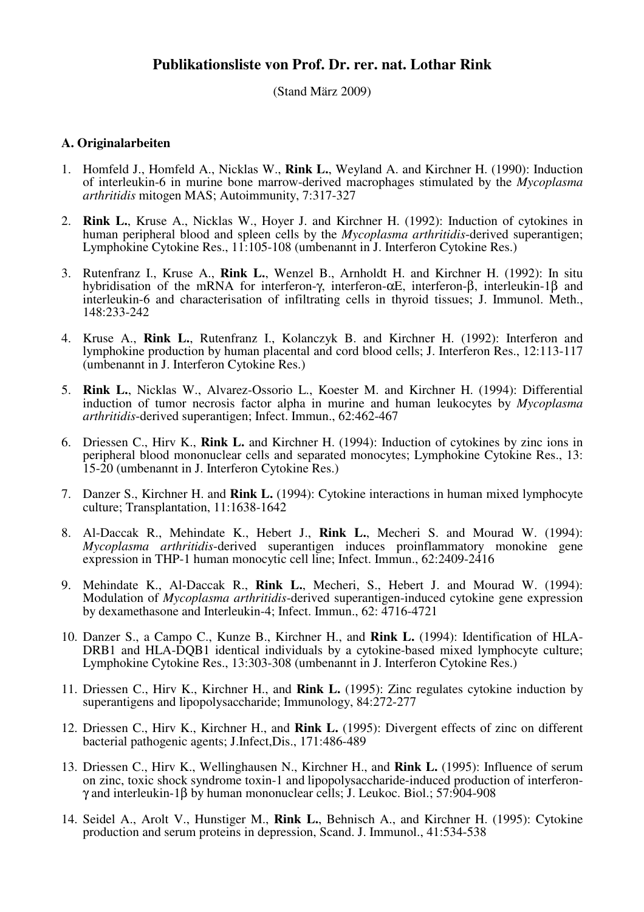(Stand März 2009)

## **A. Originalarbeiten**

- 1. Homfeld J., Homfeld A., Nicklas W., **Rink L.**, Weyland A. and Kirchner H. (1990): Induction of interleukin-6 in murine bone marrow-derived macrophages stimulated by the *Mycoplasma arthritidis* mitogen MAS; Autoimmunity, 7:317-327
- 2. **Rink L.**, Kruse A., Nicklas W., Hoyer J. and Kirchner H. (1992): Induction of cytokines in human peripheral blood and spleen cells by the *Mycoplasma arthritidis*-derived superantigen; Lymphokine Cytokine Res., 11:105-108 (umbenannt in J. Interferon Cytokine Res.)
- 3. Rutenfranz I., Kruse A., **Rink L.**, Wenzel B., Arnholdt H. and Kirchner H. (1992): In situ hybridisation of the mRNA for interferon-γ, interferon-αE, interferon-β, interleukin-1β and interleukin-6 and characterisation of infiltrating cells in thyroid tissues; J. Immunol. Meth., 148:233-242
- 4. Kruse A., **Rink L.**, Rutenfranz I., Kolanczyk B. and Kirchner H. (1992): Interferon and lymphokine production by human placental and cord blood cells; J. Interferon Res., 12:113-117 (umbenannt in J. Interferon Cytokine Res.)
- 5. **Rink L.**, Nicklas W., Alvarez-Ossorio L., Koester M. and Kirchner H. (1994): Differential induction of tumor necrosis factor alpha in murine and human leukocytes by *Mycoplasma arthritidis*-derived superantigen; Infect. Immun., 62:462-467
- 6. Driessen C., Hirv K., **Rink L.** and Kirchner H. (1994): Induction of cytokines by zinc ions in peripheral blood mononuclear cells and separated monocytes; Lymphokine Cytokine Res., 13: 15-20 (umbenannt in J. Interferon Cytokine Res.)
- 7. Danzer S., Kirchner H. and **Rink L.** (1994): Cytokine interactions in human mixed lymphocyte culture; Transplantation, 11:1638-1642
- 8. Al-Daccak R., Mehindate K., Hebert J., **Rink L.**, Mecheri S. and Mourad W. (1994): *Mycoplasma arthritidis*-derived superantigen induces proinflammatory monokine gene expression in THP-1 human monocytic cell line; Infect. Immun., 62:2409-2416
- 9. Mehindate K., Al-Daccak R., **Rink L.**, Mecheri, S., Hebert J. and Mourad W. (1994): Modulation of *Mycoplasma arthritidis*-derived superantigen-induced cytokine gene expression by dexamethasone and Interleukin-4; Infect. Immun., 62: 4716-4721
- 10. Danzer S., a Campo C., Kunze B., Kirchner H., and **Rink L.** (1994): Identification of HLA-DRB1 and HLA-DQB1 identical individuals by a cytokine-based mixed lymphocyte culture; Lymphokine Cytokine Res., 13:303-308 (umbenannt in J. Interferon Cytokine Res.)
- 11. Driessen C., Hirv K., Kirchner H., and **Rink L.** (1995): Zinc regulates cytokine induction by superantigens and lipopolysaccharide; Immunology, 84:272-277
- 12. Driessen C., Hirv K., Kirchner H., and **Rink L.** (1995): Divergent effects of zinc on different bacterial pathogenic agents; J.Infect,Dis., 171:486-489
- 13. Driessen C., Hirv K., Wellinghausen N., Kirchner H., and **Rink L.** (1995): Influence of serum on zinc, toxic shock syndrome toxin-1 and lipopolysaccharide-induced production of interferonγ and interleukin-1β by human mononuclear cells; J. Leukoc. Biol.; 57:904-908
- 14. Seidel A., Arolt V., Hunstiger M., **Rink L.**, Behnisch A., and Kirchner H. (1995): Cytokine production and serum proteins in depression, Scand. J. Immunol., 41:534-538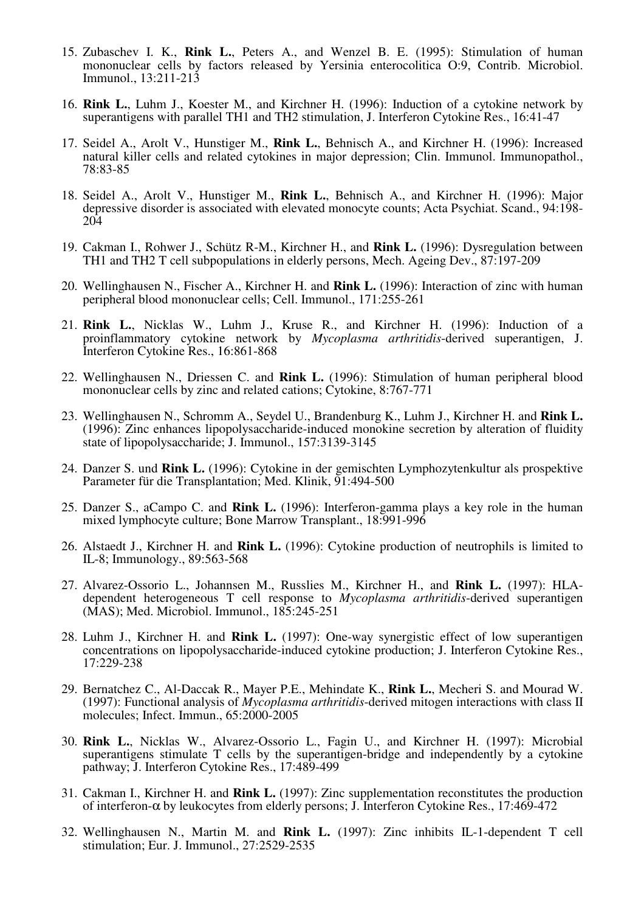- 15. Zubaschev I. K., **Rink L.**, Peters A., and Wenzel B. E. (1995): Stimulation of human mononuclear cells by factors released by Yersinia enterocolitica O:9, Contrib. Microbiol. Immunol., 13:211-213
- 16. **Rink L.**, Luhm J., Koester M., and Kirchner H. (1996): Induction of a cytokine network by superantigens with parallel TH1 and TH2 stimulation, J. Interferon Cytokine Res., 16:41-47
- 17. Seidel A., Arolt V., Hunstiger M., **Rink L.**, Behnisch A., and Kirchner H. (1996): Increased natural killer cells and related cytokines in major depression; Clin. Immunol. Immunopathol., 78:83-85
- 18. Seidel A., Arolt V., Hunstiger M., **Rink L.**, Behnisch A., and Kirchner H. (1996): Major depressive disorder is associated with elevated monocyte counts; Acta Psychiat. Scand., 94:198- 204
- 19. Cakman I., Rohwer J., Schütz R-M., Kirchner H., and **Rink L.** (1996): Dysregulation between TH1 and TH2 T cell subpopulations in elderly persons, Mech. Ageing Dev., 87:197-209
- 20. Wellinghausen N., Fischer A., Kirchner H. and **Rink L.** (1996): Interaction of zinc with human peripheral blood mononuclear cells; Cell. Immunol., 171:255-261
- 21. **Rink L.**, Nicklas W., Luhm J., Kruse R., and Kirchner H. (1996): Induction of a proinflammatory cytokine network by *Mycoplasma arthritidis*-derived superantigen, J. Interferon Cytokine Res., 16:861-868
- 22. Wellinghausen N., Driessen C. and **Rink L.** (1996): Stimulation of human peripheral blood mononuclear cells by zinc and related cations; Cytokine, 8:767-771
- 23. Wellinghausen N., Schromm A., Seydel U., Brandenburg K., Luhm J., Kirchner H. and **Rink L.** (1996): Zinc enhances lipopolysaccharide-induced monokine secretion by alteration of fluidity state of lipopolysaccharide; J. Immunol., 157:3139-3145
- 24. Danzer S. und **Rink L.** (1996): Cytokine in der gemischten Lymphozytenkultur als prospektive Parameter für die Transplantation; Med. Klinik, 91:494-500
- 25. Danzer S., aCampo C. and **Rink L.** (1996): Interferon-gamma plays a key role in the human mixed lymphocyte culture; Bone Marrow Transplant., 18:991-996
- 26. Alstaedt J., Kirchner H. and **Rink L.** (1996): Cytokine production of neutrophils is limited to IL-8; Immunology., 89:563-568
- 27. Alvarez-Ossorio L., Johannsen M., Russlies M., Kirchner H., and **Rink L.** (1997): HLAdependent heterogeneous T cell response to *Mycoplasma arthritidis*-derived superantigen (MAS); Med. Microbiol. Immunol., 185:245-251
- 28. Luhm J., Kirchner H. and **Rink L.** (1997): One-way synergistic effect of low superantigen concentrations on lipopolysaccharide-induced cytokine production; J. Interferon Cytokine Res., 17:229-238
- 29. Bernatchez C., Al-Daccak R., Mayer P.E., Mehindate K., **Rink L.**, Mecheri S. and Mourad W. (1997): Functional analysis of *Mycoplasma arthritidis*-derived mitogen interactions with class II molecules; Infect. Immun., 65:2000-2005
- 30. **Rink L.**, Nicklas W., Alvarez-Ossorio L., Fagin U., and Kirchner H. (1997): Microbial superantigens stimulate T cells by the superantigen-bridge and independently by a cytokine pathway; J. Interferon Cytokine Res., 17:489-499
- 31. Cakman I., Kirchner H. and **Rink L.** (1997): Zinc supplementation reconstitutes the production of interferon-α by leukocytes from elderly persons; J. Interferon Cytokine Res., 17:469-472
- 32. Wellinghausen N., Martin M. and **Rink L.** (1997): Zinc inhibits IL-1-dependent T cell stimulation; Eur. J. Immunol., 27:2529-2535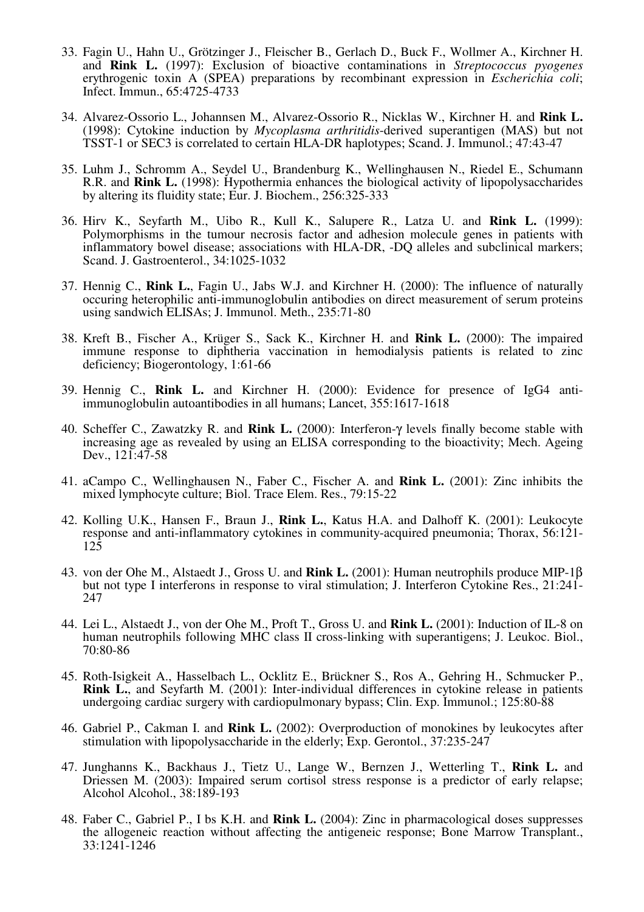- 33. Fagin U., Hahn U., Grötzinger J., Fleischer B., Gerlach D., Buck F., Wollmer A., Kirchner H. and **Rink L.** (1997): Exclusion of bioactive contaminations in *Streptococcus pyogenes* erythrogenic toxin A (SPEA) preparations by recombinant expression in *Escherichia coli*; Infect. Immun., 65:4725-4733
- 34. Alvarez-Ossorio L., Johannsen M., Alvarez-Ossorio R., Nicklas W., Kirchner H. and **Rink L.** (1998): Cytokine induction by *Mycoplasma arthritidis*-derived superantigen (MAS) but not TSST-1 or SEC3 is correlated to certain HLA-DR haplotypes; Scand. J. Immunol.; 47:43-47
- 35. Luhm J., Schromm A., Seydel U., Brandenburg K., Wellinghausen N., Riedel E., Schumann R.R. and **Rink L.** (1998): Hypothermia enhances the biological activity of lipopolysaccharides by altering its fluidity state; Eur. J. Biochem., 256:325-333
- 36. Hirv K., Seyfarth M., Uibo R., Kull K., Salupere R., Latza U. and **Rink L.** (1999): Polymorphisms in the tumour necrosis factor and adhesion molecule genes in patients with inflammatory bowel disease; associations with HLA-DR, -DQ alleles and subclinical markers; Scand. J. Gastroenterol., 34:1025-1032
- 37. Hennig C., **Rink L.**, Fagin U., Jabs W.J. and Kirchner H. (2000): The influence of naturally occuring heterophilic anti-immunoglobulin antibodies on direct measurement of serum proteins using sandwich ELISAs; J. Immunol. Meth., 235:71-80
- 38. Kreft B., Fischer A., Krüger S., Sack K., Kirchner H. and **Rink L.** (2000): The impaired immune response to diphtheria vaccination in hemodialysis patients is related to zinc deficiency; Biogerontology, 1:61-66
- 39. Hennig C., **Rink L.** and Kirchner H. (2000): Evidence for presence of IgG4 antiimmunoglobulin autoantibodies in all humans; Lancet, 355:1617-1618
- 40. Scheffer C., Zawatzky R. and **Rink L.** (2000): Interferon-γ levels finally become stable with increasing age as revealed by using an ELISA corresponding to the bioactivity; Mech. Ageing Dev., 121:47-58
- 41. aCampo C., Wellinghausen N., Faber C., Fischer A. and **Rink L.** (2001): Zinc inhibits the mixed lymphocyte culture; Biol. Trace Elem. Res., 79:15-22
- 42. Kolling U.K., Hansen F., Braun J., **Rink L.**, Katus H.A. and Dalhoff K. (2001): Leukocyte response and anti-inflammatory cytokines in community-acquired pneumonia; Thorax, 56:121- 125
- 43. von der Ohe M., Alstaedt J., Gross U. and **Rink L.** (2001): Human neutrophils produce MIP-1β but not type I interferons in response to viral stimulation; J. Interferon Cytokine Res., 21:241- 247
- 44. Lei L., Alstaedt J., von der Ohe M., Proft T., Gross U. and **Rink L.** (2001): Induction of IL-8 on human neutrophils following MHC class II cross-linking with superantigens; J. Leukoc. Biol., 70:80-86
- 45. Roth-Isigkeit A., Hasselbach L., Ocklitz E., Brückner S., Ros A., Gehring H., Schmucker P., **Rink L.**, and Seyfarth M. (2001): Inter-individual differences in cytokine release in patients undergoing cardiac surgery with cardiopulmonary bypass; Clin. Exp. Immunol.; 125:80-88
- 46. Gabriel P., Cakman I. and **Rink L.** (2002): Overproduction of monokines by leukocytes after stimulation with lipopolysaccharide in the elderly; Exp. Gerontol., 37:235-247
- 47. Junghanns K., Backhaus J., Tietz U., Lange W., Bernzen J., Wetterling T., **Rink L.** and Driessen M. (2003): Impaired serum cortisol stress response is a predictor of early relapse; Alcohol Alcohol., 38:189-193
- 48. Faber C., Gabriel P., I bs K.H. and **Rink L.** (2004): Zinc in pharmacological doses suppresses the allogeneic reaction without affecting the antigeneic response; Bone Marrow Transplant., 33:1241-1246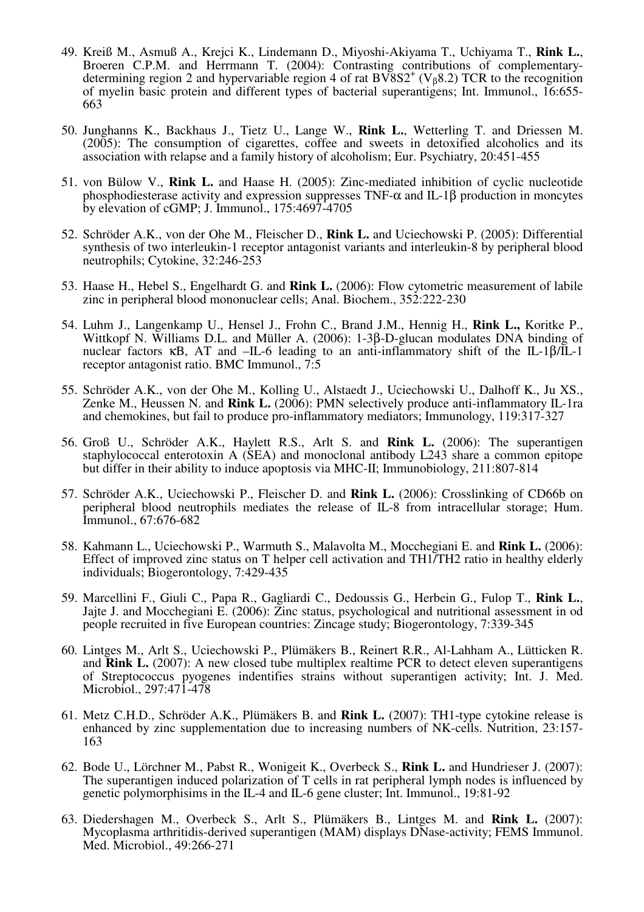- 49. Kreiß M., Asmuß A., Krejci K., Lindemann D., Miyoshi-Akiyama T., Uchiyama T., **Rink L.**, Broeren C.P.M. and Herrmann T. (2004): Contrasting contributions of complementarydetermining region 2 and hypervariable region 4 of rat  $B\overline{V}8S2^+(V_{\beta}8.2)$  TCR to the recognition of myelin basic protein and different types of bacterial superantigens; Int. Immunol., 16:655- 663
- 50. Junghanns K., Backhaus J., Tietz U., Lange W., **Rink L.**, Wetterling T. and Driessen M. (2005): The consumption of cigarettes, coffee and sweets in detoxified alcoholics and its association with relapse and a family history of alcoholism; Eur. Psychiatry, 20:451-455
- 51. von Bülow V., **Rink L.** and Haase H. (2005): Zinc-mediated inhibition of cyclic nucleotide phosphodiesterase activity and expression suppresses TNF- $\alpha$  and IL-1 $\beta$  production in moncytes by elevation of cGMP; J. Immunol., 175:4697-4705
- 52. Schröder A.K., von der Ohe M., Fleischer D., **Rink L.** and Uciechowski P. (2005): Differential synthesis of two interleukin-1 receptor antagonist variants and interleukin-8 by peripheral blood neutrophils; Cytokine, 32:246-253
- 53. Haase H., Hebel S., Engelhardt G. and **Rink L.** (2006): Flow cytometric measurement of labile zinc in peripheral blood mononuclear cells; Anal. Biochem., 352:222-230
- 54. Luhm J., Langenkamp U., Hensel J., Frohn C., Brand J.M., Hennig H., **Rink L.,** Koritke P., Wittkopf N. Williams D.L. and Müller A. (2006): 1-3β-D-glucan modulates DNA binding of nuclear factors κB, AT and –IL-6 leading to an anti-inflammatory shift of the IL-1β/IL-1 receptor antagonist ratio. BMC Immunol., 7:5
- 55. Schröder A.K., von der Ohe M., Kolling U., Alstaedt J., Uciechowski U., Dalhoff K., Ju XS., Zenke M., Heussen N. and **Rink L.** (2006): PMN selectively produce anti-inflammatory IL-1ra and chemokines, but fail to produce pro-inflammatory mediators; Immunology, 119:317-327
- 56. Groß U., Schröder A.K., Haylett R.S., Arlt S. and **Rink L.** (2006): The superantigen staphylococcal enterotoxin A (SEA) and monoclonal antibody L243 share a common epitope but differ in their ability to induce apoptosis via MHC-II; Immunobiology, 211:807-814
- 57. Schröder A.K., Uciechowski P., Fleischer D. and **Rink L.** (2006): Crosslinking of CD66b on peripheral blood neutrophils mediates the release of IL-8 from intracellular storage; Hum. Immunol., 67:676-682
- 58. Kahmann L., Uciechowski P., Warmuth S., Malavolta M., Mocchegiani E. and **Rink L.** (2006): Effect of improved zinc status on T helper cell activation and TH1/TH2 ratio in healthy elderly individuals; Biogerontology, 7:429-435
- 59. Marcellini F., Giuli C., Papa R., Gagliardi C., Dedoussis G., Herbein G., Fulop T., **Rink L.**, Jajte J. and Mocchegiani E. (2006): Zinc status, psychological and nutritional assessment in od people recruited in five European countries: Zincage study; Biogerontology, 7:339-345
- 60. Lintges M., Arlt S., Uciechowski P., Plümäkers B., Reinert R.R., Al-Lahham A., Lütticken R. and **Rink L.** (2007): A new closed tube multiplex realtime PCR to detect eleven superantigens of Streptococcus pyogenes indentifies strains without superantigen activity; Int. J. Med. Microbiol., 297:471-478
- 61. Metz C.H.D., Schröder A.K., Plümäkers B. and **Rink L.** (2007): TH1-type cytokine release is enhanced by zinc supplementation due to increasing numbers of NK-cells. Nutrition, 23:157- 163
- 62. Bode U., Lörchner M., Pabst R., Wonigeit K., Overbeck S., **Rink L.** and Hundrieser J. (2007): The superantigen induced polarization of T cells in rat peripheral lymph nodes is influenced by genetic polymorphisims in the IL-4 and IL-6 gene cluster; Int. Immunol., 19:81-92
- 63. Diedershagen M., Overbeck S., Arlt S., Plümäkers B., Lintges M. and **Rink L.** (2007): Mycoplasma arthritidis-derived superantigen (MAM) displays DNase-activity; FEMS Immunol. Med. Microbiol., 49:266-271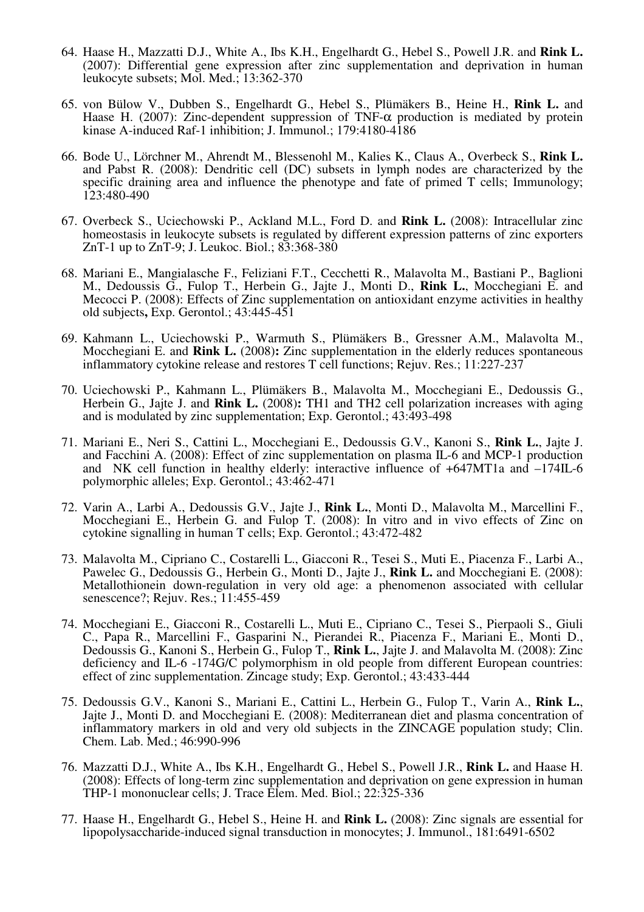- 64. Haase H., Mazzatti D.J., White A., Ibs K.H., Engelhardt G., Hebel S., Powell J.R. and **Rink L.** (2007): Differential gene expression after zinc supplementation and deprivation in human leukocyte subsets; Mol. Med.; 13:362-370
- 65. von Bülow V., Dubben S., Engelhardt G., Hebel S., Plümäkers B., Heine H., **Rink L.** and Haase H. (2007): Zinc-dependent suppression of TNF- $\alpha$  production is mediated by protein kinase A-induced Raf-1 inhibition; J. Immunol.; 179:4180-4186
- 66. Bode U., Lörchner M., Ahrendt M., Blessenohl M., Kalies K., Claus A., Overbeck S., **Rink L.** and Pabst R. (2008): Dendritic cell (DC) subsets in lymph nodes are characterized by the specific draining area and influence the phenotype and fate of primed T cells; Immunology; 123:480-490
- 67. Overbeck S., Uciechowski P., Ackland M.L., Ford D. and **Rink L.** (2008): Intracellular zinc homeostasis in leukocyte subsets is regulated by different expression patterns of zinc exporters ZnT-1 up to ZnT-9; J. Leukoc. Biol.; 83:368-380
- 68. Mariani E., Mangialasche F., Feliziani F.T., Cecchetti R., Malavolta M., Bastiani P., Baglioni M., Dedoussis G., Fulop T., Herbein G., Jajte J., Monti D., **Rink L.**, Mocchegiani E. and Mecocci P. (2008): Effects of Zinc supplementation on antioxidant enzyme activities in healthy old subjects**,** Exp. Gerontol.; 43:445-451
- 69. Kahmann L., Uciechowski P., Warmuth S., Plümäkers B., Gressner A.M., Malavolta M., Mocchegiani E. and **Rink L.** (2008)**:** Zinc supplementation in the elderly reduces spontaneous inflammatory cytokine release and restores T cell functions; Rejuv. Res.; 11:227-237
- 70. Uciechowski P., Kahmann L., Plümäkers B., Malavolta M., Mocchegiani E., Dedoussis G., Herbein G., Jajte J. and **Rink L.** (2008)**:** TH1 and TH2 cell polarization increases with aging and is modulated by zinc supplementation; Exp. Gerontol.; 43:493-498
- 71. Mariani E., Neri S., Cattini L., Mocchegiani E., Dedoussis G.V., Kanoni S., **Rink L.**, Jajte J. and Facchini A. (2008): Effect of zinc supplementation on plasma IL-6 and MCP-1 production and NK cell function in healthy elderly: interactive influence of  $+647MT1a$  and  $-174IL-6$ polymorphic alleles; Exp. Gerontol.; 43:462-471
- 72. Varin A., Larbi A., Dedoussis G.V., Jajte J., **Rink L.**, Monti D., Malavolta M., Marcellini F., Mocchegiani E., Herbein G. and Fulop T. (2008): In vitro and in vivo effects of Zinc on cytokine signalling in human T cells; Exp. Gerontol.; 43:472-482
- 73. Malavolta M., Cipriano C., Costarelli L., Giacconi R., Tesei S., Muti E., Piacenza F., Larbi A., Pawelec G., Dedoussis G., Herbein G., Monti D., Jajte J., **Rink L.** and Mocchegiani E. (2008): Metallothionein down-regulation in very old age: a phenomenon associated with cellular senescence?; Rejuv. Res.; 11:455-459
- 74. Mocchegiani E., Giacconi R., Costarelli L., Muti E., Cipriano C., Tesei S., Pierpaoli S., Giuli C., Papa R., Marcellini F., Gasparini N., Pierandei R., Piacenza F., Mariani E., Monti D., Dedoussis G., Kanoni S., Herbein G., Fulop T., **Rink L.**, Jajte J. and Malavolta M. (2008): Zinc deficiency and IL-6 -174G/C polymorphism in old people from different European countries: effect of zinc supplementation. Zincage study; Exp. Gerontol.; 43:433-444
- 75. Dedoussis G.V., Kanoni S., Mariani E., Cattini L., Herbein G., Fulop T., Varin A., **Rink L.**, Jajte J., Monti D. and Mocchegiani E. (2008): Mediterranean diet and plasma concentration of inflammatory markers in old and very old subjects in the ZINCAGE population study; Clin. Chem. Lab. Med.; 46:990-996
- 76. Mazzatti D.J., White A., Ibs K.H., Engelhardt G., Hebel S., Powell J.R., **Rink L.** and Haase H. (2008): Effects of long-term zinc supplementation and deprivation on gene expression in human THP-1 mononuclear cells; J. Trace Elem. Med. Biol.; 22:325-336
- 77. Haase H., Engelhardt G., Hebel S., Heine H. and **Rink L.** (2008): Zinc signals are essential for lipopolysaccharide-induced signal transduction in monocytes; J. Immunol., 181:6491-6502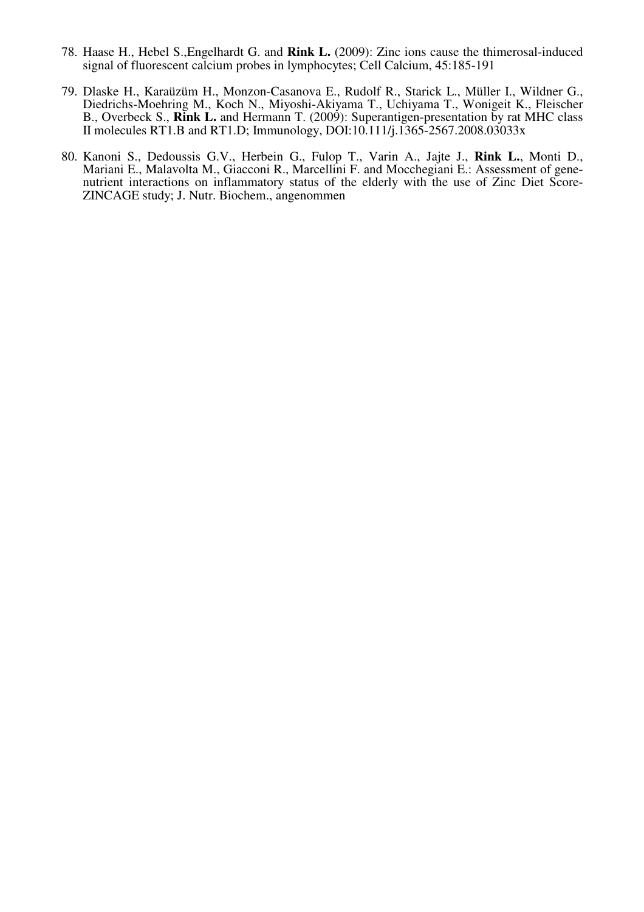- 78. Haase H., Hebel S.,Engelhardt G. and **Rink L.** (2009): Zinc ions cause the thimerosal-induced signal of fluorescent calcium probes in lymphocytes; Cell Calcium, 45:185-191
- 79. Dlaske H., Karaüzüm H., Monzon-Casanova E., Rudolf R., Starick L., Müller I., Wildner G., Diedrichs-Moehring M., Koch N., Miyoshi-Akiyama T., Uchiyama T., Wonigeit K., Fleischer B., Overbeck S., **Rink L.** and Hermann T. (2009): Superantigen-presentation by rat MHC class II molecules RT1.B and RT1.D; Immunology, DOI:10.111/j.1365-2567.2008.03033x
- 80. Kanoni S., Dedoussis G.V., Herbein G., Fulop T., Varin A., Jajte J., **Rink L.**, Monti D., Mariani E., Malavolta M., Giacconi R., Marcellini F. and Mocchegiani E.: Assessment of genenutrient interactions on inflammatory status of the elderly with the use of Zinc Diet Score-ZINCAGE study; J. Nutr. Biochem., angenommen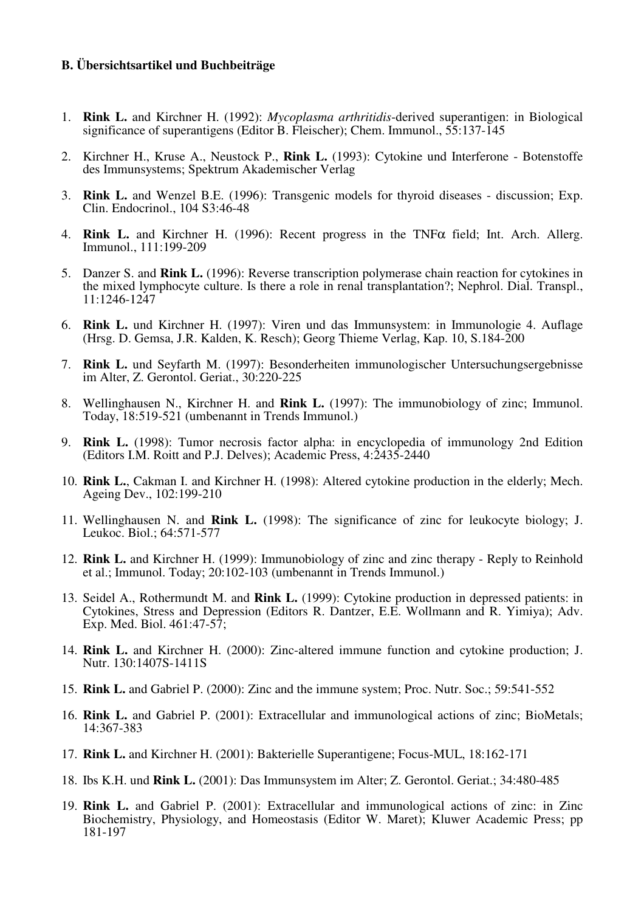## **B. Übersichtsartikel und Buchbeiträge**

- 1. **Rink L.** and Kirchner H. (1992): *Mycoplasma arthritidis*-derived superantigen: in Biological significance of superantigens (Editor B. Fleischer); Chem. Immunol., 55:137-145
- 2. Kirchner H., Kruse A., Neustock P., **Rink L.** (1993): Cytokine und Interferone Botenstoffe des Immunsystems; Spektrum Akademischer Verlag
- 3. **Rink L.** and Wenzel B.E. (1996): Transgenic models for thyroid diseases discussion; Exp. Clin. Endocrinol., 104 S3:46-48
- 4. **Rink L.** and Kirchner H. (1996): Recent progress in the TNFα field; Int. Arch. Allerg. Immunol., 111:199-209
- 5. Danzer S. and **Rink L.** (1996): Reverse transcription polymerase chain reaction for cytokines in the mixed lymphocyte culture. Is there a role in renal transplantation?; Nephrol. Dial. Transpl., 11:1246-1247
- 6. **Rink L.** und Kirchner H. (1997): Viren und das Immunsystem: in Immunologie 4. Auflage (Hrsg. D. Gemsa, J.R. Kalden, K. Resch); Georg Thieme Verlag, Kap. 10, S.184-200
- 7. **Rink L.** und Seyfarth M. (1997): Besonderheiten immunologischer Untersuchungsergebnisse im Alter, Z. Gerontol. Geriat., 30:220-225
- 8. Wellinghausen N., Kirchner H. and **Rink L.** (1997): The immunobiology of zinc; Immunol. Today, 18:519-521 (umbenannt in Trends Immunol.)
- 9. **Rink L.** (1998): Tumor necrosis factor alpha: in encyclopedia of immunology 2nd Edition (Editors I.M. Roitt and P.J. Delves); Academic Press, 4:2435-2440
- 10. **Rink L.**, Cakman I. and Kirchner H. (1998): Altered cytokine production in the elderly; Mech. Ageing Dev., 102:199-210
- 11. Wellinghausen N. and **Rink L.** (1998): The significance of zinc for leukocyte biology; J. Leukoc. Biol.; 64:571-577
- 12. **Rink L.** and Kirchner H. (1999): Immunobiology of zinc and zinc therapy Reply to Reinhold et al.; Immunol. Today; 20:102-103 (umbenannt in Trends Immunol.)
- 13. Seidel A., Rothermundt M. and **Rink L.** (1999): Cytokine production in depressed patients: in Cytokines, Stress and Depression (Editors R. Dantzer, E.E. Wollmann and R. Yimiya); Adv. Exp. Med. Biol. 461:47-57;
- 14. **Rink L.** and Kirchner H. (2000): Zinc-altered immune function and cytokine production; J. Nutr. 130:1407S-1411S
- 15. **Rink L.** and Gabriel P. (2000): Zinc and the immune system; Proc. Nutr. Soc.; 59:541-552
- 16. **Rink L.** and Gabriel P. (2001): Extracellular and immunological actions of zinc; BioMetals; 14:367-383
- 17. **Rink L.** and Kirchner H. (2001): Bakterielle Superantigene; Focus-MUL, 18:162-171
- 18. Ibs K.H. und **Rink L.** (2001): Das Immunsystem im Alter; Z. Gerontol. Geriat.; 34:480-485
- 19. **Rink L.** and Gabriel P. (2001): Extracellular and immunological actions of zinc: in Zinc Biochemistry, Physiology, and Homeostasis (Editor W. Maret); Kluwer Academic Press; pp 181-197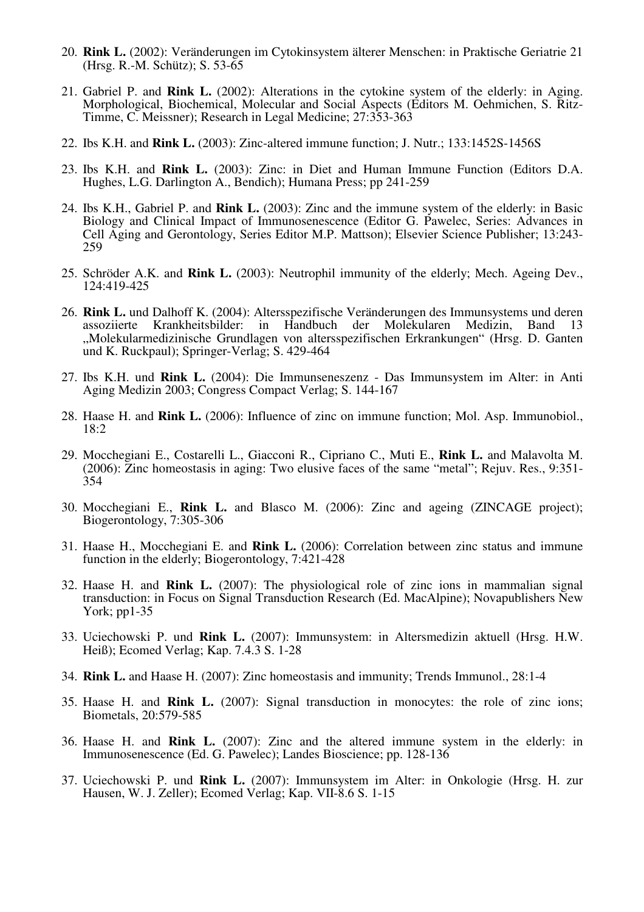- 20. **Rink L.** (2002): Veränderungen im Cytokinsystem älterer Menschen: in Praktische Geriatrie 21 (Hrsg. R.-M. Schütz); S. 53-65
- 21. Gabriel P. and **Rink L.** (2002): Alterations in the cytokine system of the elderly: in Aging. Morphological, Biochemical, Molecular and Social Aspects (Editors M. Oehmichen, S. Ritz-Timme, C. Meissner); Research in Legal Medicine; 27:353-363
- 22. Ibs K.H. and **Rink L.** (2003): Zinc-altered immune function; J. Nutr.; 133:1452S-1456S
- 23. Ibs K.H. and **Rink L.** (2003): Zinc: in Diet and Human Immune Function (Editors D.A. Hughes, L.G. Darlington A., Bendich); Humana Press; pp 241-259
- 24. Ibs K.H., Gabriel P. and **Rink L.** (2003): Zinc and the immune system of the elderly: in Basic Biology and Clinical Impact of Immunosenescence (Editor G. Pawelec, Series: Advances in Cell Aging and Gerontology, Series Editor M.P. Mattson); Elsevier Science Publisher; 13:243- 259
- 25. Schröder A.K. and **Rink L.** (2003): Neutrophil immunity of the elderly; Mech. Ageing Dev., 124:419-425
- 26. **Rink L.** und Dalhoff K. (2004): Altersspezifische Veränderungen des Immunsystems und deren assoziierte Krankheitsbilder: in Handbuch der Molekularen Medizin, Band 13 "Molekularmedizinische Grundlagen von altersspezifischen Erkrankungen" (Hrsg. D. Ganten und K. Ruckpaul); Springer-Verlag; S. 429-464
- 27. Ibs K.H. und **Rink L.** (2004): Die Immunseneszenz Das Immunsystem im Alter: in Anti Aging Medizin 2003; Congress Compact Verlag; S. 144-167
- 28. Haase H. and **Rink L.** (2006): Influence of zinc on immune function; Mol. Asp. Immunobiol., 18:2
- 29. Mocchegiani E., Costarelli L., Giacconi R., Cipriano C., Muti E., **Rink L.** and Malavolta M. (2006): Zinc homeostasis in aging: Two elusive faces of the same "metal"; Rejuv. Res., 9:351- 354
- 30. Mocchegiani E., **Rink L.** and Blasco M. (2006): Zinc and ageing (ZINCAGE project); Biogerontology, 7:305-306
- 31. Haase H., Mocchegiani E. and **Rink L.** (2006): Correlation between zinc status and immune function in the elderly; Biogerontology, 7:421-428
- 32. Haase H. and **Rink L.** (2007): The physiological role of zinc ions in mammalian signal transduction: in Focus on Signal Transduction Research (Ed. MacAlpine); Novapublishers New York; pp1-35
- 33. Uciechowski P. und **Rink L.** (2007): Immunsystem: in Altersmedizin aktuell (Hrsg. H.W. Heiß); Ecomed Verlag; Kap. 7.4.3 S. 1-28
- 34. **Rink L.** and Haase H. (2007): Zinc homeostasis and immunity; Trends Immunol., 28:1-4
- 35. Haase H. and **Rink L.** (2007): Signal transduction in monocytes: the role of zinc ions; Biometals, 20:579-585
- 36. Haase H. and **Rink L.** (2007): Zinc and the altered immune system in the elderly: in Immunosenescence (Ed. G. Pawelec); Landes Bioscience; pp. 128-136
- 37. Uciechowski P. und **Rink L.** (2007): Immunsystem im Alter: in Onkologie (Hrsg. H. zur Hausen, W. J. Zeller); Ecomed Verlag; Kap. VII-8.6 S. 1-15